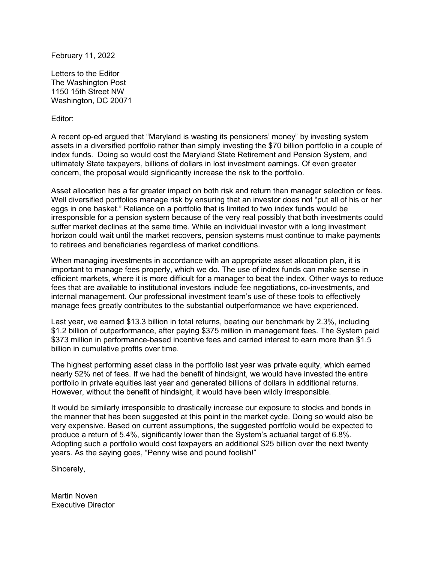February 11, 2022

Letters to the Editor The Washington Post 1150 15th Street NW Washington, DC 20071

Editor:

A recent op-ed argued that "Maryland is wasting its pensioners' money" by investing system assets in a diversified portfolio rather than simply investing the \$70 billion portfolio in a couple of index funds. Doing so would cost the Maryland State Retirement and Pension System, and ultimately State taxpayers, billions of dollars in lost investment earnings. Of even greater concern, the proposal would significantly increase the risk to the portfolio.

Asset allocation has a far greater impact on both risk and return than manager selection or fees. Well diversified portfolios manage risk by ensuring that an investor does not "put all of his or her eggs in one basket." Reliance on a portfolio that is limited to two index funds would be irresponsible for a pension system because of the very real possibly that both investments could suffer market declines at the same time. While an individual investor with a long investment horizon could wait until the market recovers, pension systems must continue to make payments to retirees and beneficiaries regardless of market conditions.

When managing investments in accordance with an appropriate asset allocation plan, it is important to manage fees properly, which we do. The use of index funds can make sense in efficient markets, where it is more difficult for a manager to beat the index. Other ways to reduce fees that are available to institutional investors include fee negotiations, co-investments, and internal management. Our professional investment team's use of these tools to effectively manage fees greatly contributes to the substantial outperformance we have experienced.

Last year, we earned \$13.3 billion in total returns, beating our benchmark by 2.3%, including \$1.2 billion of outperformance, after paying \$375 million in management fees. The System paid \$373 million in performance-based incentive fees and carried interest to earn more than \$1.5 billion in cumulative profits over time.

The highest performing asset class in the portfolio last year was private equity, which earned nearly 52% net of fees. If we had the benefit of hindsight, we would have invested the entire portfolio in private equities last year and generated billions of dollars in additional returns. However, without the benefit of hindsight, it would have been wildly irresponsible.

It would be similarly irresponsible to drastically increase our exposure to stocks and bonds in the manner that has been suggested at this point in the market cycle. Doing so would also be very expensive. Based on current assumptions, the suggested portfolio would be expected to produce a return of 5.4%, significantly lower than the System's actuarial target of 6.8%. Adopting such a portfolio would cost taxpayers an additional \$25 billion over the next twenty years. As the saying goes, "Penny wise and pound foolish!"

Sincerely,

Martin Noven Executive Director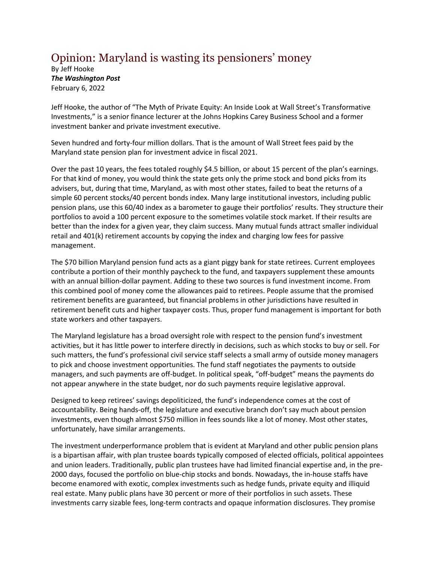## Opinion: Maryland is wasting its pensioners' money

By Jeff Hooke *The Washington Post* February 6, 2022

Jeff Hooke, the author of "The Myth of Private Equity: An Inside Look at Wall Street's Transformative Investments," is a senior finance lecturer at the Johns Hopkins Carey Business School and a former investment banker and private investment executive.

Seven hundred and forty-four million dollars. That is the amount of Wall Street fees paid by the Maryland state pension plan for investment advice in fiscal 2021.

Over the past 10 years, the fees totaled roughly \$4.5 billion, or about 15 percent of the plan's earnings. For that kind of money, you would think the state gets only the prime stock and bond picks from its advisers, but, during that time, Maryland, as with most other states, failed to beat the returns of a simple 60 percent stocks/40 percent bonds index. Many large institutional investors, including public pension plans, use this 60/40 index as a barometer to gauge their portfolios' results. They structure their portfolios to avoid a 100 percent exposure to the sometimes volatile stock market. If their results are better than the index for a given year, they claim success. Many mutual funds attract smaller individual retail and 401(k) retirement accounts by copying the index and charging low fees for passive management.

The \$70 billion Maryland pension fund acts as a giant piggy bank for state retirees. Current employees contribute a portion of their monthly paycheck to the fund, and taxpayers supplement these amounts with an annual billion-dollar payment. Adding to these two sources is fund investment income. From this combined pool of money come the allowances paid to retirees. People assume that the promised retirement benefits are guaranteed, but financial problems in other jurisdictions have resulted in retirement benefit cuts and higher taxpayer costs. Thus, proper fund management is important for both state workers and other taxpayers.

The Maryland legislature has a broad oversight role with respect to the pension fund's investment activities, but it has little power to interfere directly in decisions, such as which stocks to buy or sell. For such matters, the fund's professional civil service staff selects a small army of outside money managers to pick and choose investment opportunities. The fund staff negotiates the payments to outside managers, and such payments are off-budget. In political speak, "off-budget" means the payments do not appear anywhere in the state budget, nor do such payments require legislative approval.

Designed to keep retirees' savings depoliticized, the fund's independence comes at the cost of accountability. Being hands-off, the legislature and executive branch don't say much about pension investments, even though almost \$750 million in fees sounds like a lot of money. Most other states, unfortunately, have similar arrangements.

The investment underperformance problem that is evident at Maryland and other public pension plans is a bipartisan affair, with plan trustee boards typically composed of elected officials, political appointees and union leaders. Traditionally, public plan trustees have had limited financial expertise and, in the pre-2000 days, focused the portfolio on blue-chip stocks and bonds. Nowadays, the in-house staffs have become enamored with exotic, complex investments such as hedge funds, private equity and illiquid real estate. Many public plans have 30 percent or more of their portfolios in such assets. These investments carry sizable fees, long-term contracts and opaque information disclosures. They promise